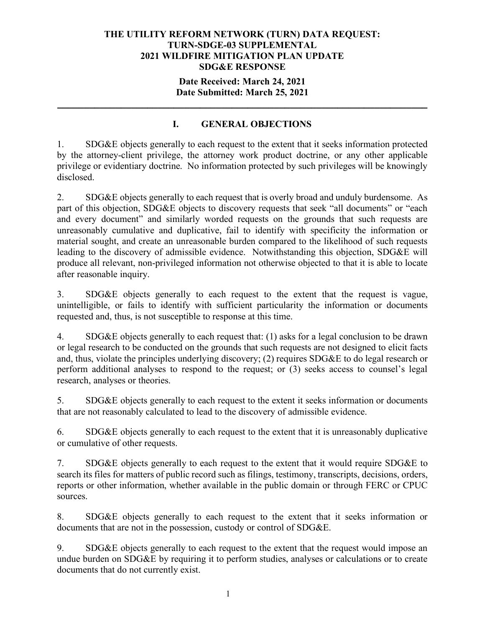#### **THE UTILITY REFORM NETWORK (TURN) DATA REQUEST: TURN-SDGE-03 SUPPLEMENTAL 2021 WILDFIRE MITIGATION PLAN UPDATE SDG&E RESPONSE**

## **Date Received: March 24, 2021 Date Submitted: March 25, 2021**

**\_\_\_\_\_\_\_\_\_\_\_\_\_\_\_\_\_\_\_\_\_\_\_\_\_\_\_\_\_\_\_\_\_\_\_\_\_\_\_\_\_\_\_\_\_\_\_\_\_\_\_\_\_\_\_\_\_\_\_\_\_\_\_\_\_\_\_\_\_\_**

# **I. GENERAL OBJECTIONS**

1. SDG&E objects generally to each request to the extent that it seeks information protected by the attorney-client privilege, the attorney work product doctrine, or any other applicable privilege or evidentiary doctrine. No information protected by such privileges will be knowingly disclosed.

2. SDG&E objects generally to each request that is overly broad and unduly burdensome. As part of this objection, SDG&E objects to discovery requests that seek "all documents" or "each and every document" and similarly worded requests on the grounds that such requests are unreasonably cumulative and duplicative, fail to identify with specificity the information or material sought, and create an unreasonable burden compared to the likelihood of such requests leading to the discovery of admissible evidence. Notwithstanding this objection, SDG&E will produce all relevant, non-privileged information not otherwise objected to that it is able to locate after reasonable inquiry.

3. SDG&E objects generally to each request to the extent that the request is vague, unintelligible, or fails to identify with sufficient particularity the information or documents requested and, thus, is not susceptible to response at this time.

4. SDG&E objects generally to each request that: (1) asks for a legal conclusion to be drawn or legal research to be conducted on the grounds that such requests are not designed to elicit facts and, thus, violate the principles underlying discovery; (2) requires SDG&E to do legal research or perform additional analyses to respond to the request; or (3) seeks access to counsel's legal research, analyses or theories.

5. SDG&E objects generally to each request to the extent it seeks information or documents that are not reasonably calculated to lead to the discovery of admissible evidence.

6. SDG&E objects generally to each request to the extent that it is unreasonably duplicative or cumulative of other requests.

7. SDG&E objects generally to each request to the extent that it would require SDG&E to search its files for matters of public record such as filings, testimony, transcripts, decisions, orders, reports or other information, whether available in the public domain or through FERC or CPUC sources.

8. SDG&E objects generally to each request to the extent that it seeks information or documents that are not in the possession, custody or control of SDG&E.

9. SDG&E objects generally to each request to the extent that the request would impose an undue burden on SDG&E by requiring it to perform studies, analyses or calculations or to create documents that do not currently exist.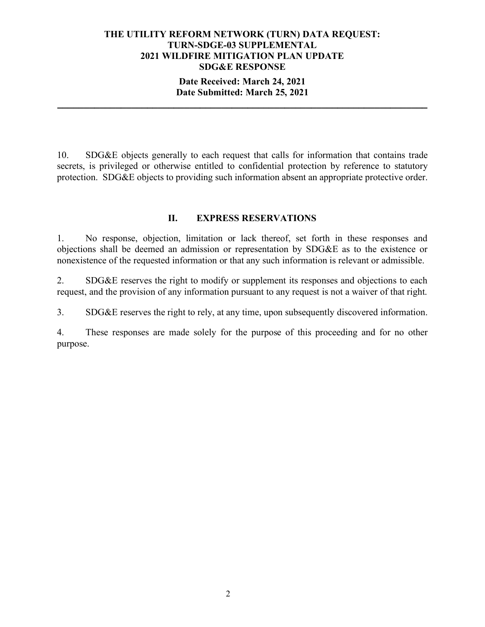#### **THE UTILITY REFORM NETWORK (TURN) DATA REQUEST: TURN-SDGE-03 SUPPLEMENTAL 2021 WILDFIRE MITIGATION PLAN UPDATE SDG&E RESPONSE**

## **Date Received: March 24, 2021 Date Submitted: March 25, 2021**

**\_\_\_\_\_\_\_\_\_\_\_\_\_\_\_\_\_\_\_\_\_\_\_\_\_\_\_\_\_\_\_\_\_\_\_\_\_\_\_\_\_\_\_\_\_\_\_\_\_\_\_\_\_\_\_\_\_\_\_\_\_\_\_\_\_\_\_\_\_\_**

10. SDG&E objects generally to each request that calls for information that contains trade secrets, is privileged or otherwise entitled to confidential protection by reference to statutory protection. SDG&E objects to providing such information absent an appropriate protective order.

# **II. EXPRESS RESERVATIONS**

1. No response, objection, limitation or lack thereof, set forth in these responses and objections shall be deemed an admission or representation by SDG&E as to the existence or nonexistence of the requested information or that any such information is relevant or admissible.

2. SDG&E reserves the right to modify or supplement its responses and objections to each request, and the provision of any information pursuant to any request is not a waiver of that right.

3. SDG&E reserves the right to rely, at any time, upon subsequently discovered information.

4. These responses are made solely for the purpose of this proceeding and for no other purpose.